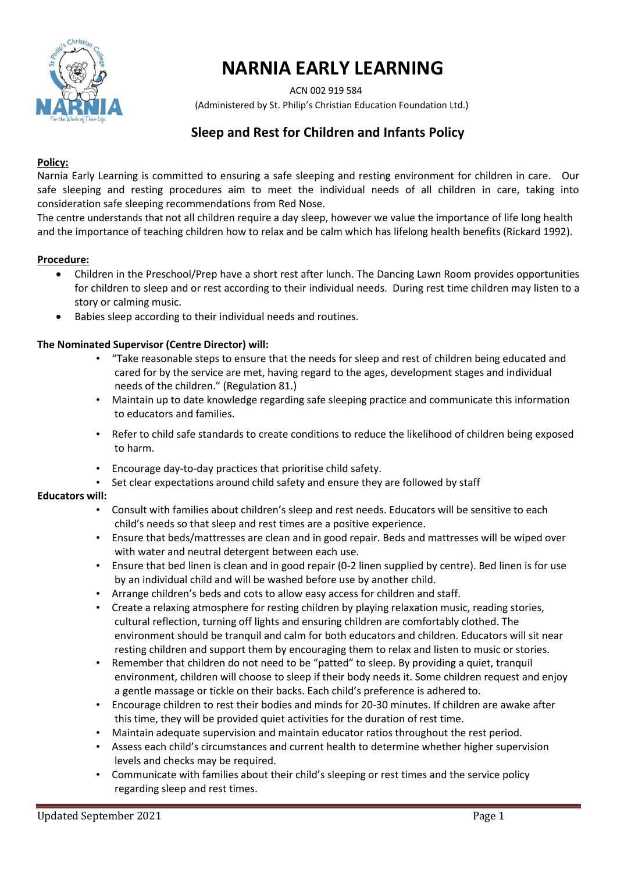

# **NARNIA EARLY LEARNING**

 ACN 002 919 584 (Administered by St. Philip's Christian Education Foundation Ltd.)

# **Sleep and Rest for Children and Infants Policy**

#### **Policy:**

Narnia Early Learning is committed to ensuring a safe sleeping and resting environment for children in care. Our safe sleeping and resting procedures aim to meet the individual needs of all children in care, taking into consideration safe sleeping recommendations from Red Nose.

The centre understands that not all children require a day sleep, however we value the importance of life long health and the importance of teaching children how to relax and be calm which has lifelong health benefits (Rickard 1992).

#### **Procedure:**

- Children in the Preschool/Prep have a short rest after lunch. The Dancing Lawn Room provides opportunities for children to sleep and or rest according to their individual needs. During rest time children may listen to a story or calming music.
- Babies sleep according to their individual needs and routines.

#### **The Nominated Supervisor (Centre Director) will:**

- "Take reasonable steps to ensure that the needs for sleep and rest of children being educated and cared for by the service are met, having regard to the ages, development stages and individual needs of the children." (Regulation 81.)
- Maintain up to date knowledge regarding safe sleeping practice and communicate this information to educators and families.
- Refer to child safe standards to create conditions to reduce the likelihood of children being exposed to harm.
- Encourage day-to-day practices that prioritise child safety.
- Set clear expectations around child safety and ensure they are followed by staff

#### **Educators will:**

- Consult with families about children's sleep and rest needs. Educators will be sensitive to each child's needs so that sleep and rest times are a positive experience.
- Ensure that beds/mattresses are clean and in good repair. Beds and mattresses will be wiped over with water and neutral detergent between each use.
- Ensure that bed linen is clean and in good repair (0-2 linen supplied by centre). Bed linen is for use by an individual child and will be washed before use by another child.
- Arrange children's beds and cots to allow easy access for children and staff.
- Create a relaxing atmosphere for resting children by playing relaxation music, reading stories, cultural reflection, turning off lights and ensuring children are comfortably clothed. The environment should be tranquil and calm for both educators and children. Educators will sit near resting children and support them by encouraging them to relax and listen to music or stories.
- Remember that children do not need to be "patted" to sleep. By providing a quiet, tranquil environment, children will choose to sleep if their body needs it. Some children request and enjoy a gentle massage or tickle on their backs. Each child's preference is adhered to.
- Encourage children to rest their bodies and minds for 20-30 minutes. If children are awake after this time, they will be provided quiet activities for the duration of rest time.
- Maintain adequate supervision and maintain educator ratios throughout the rest period.
- Assess each child's circumstances and current health to determine whether higher supervision levels and checks may be required.
- Communicate with families about their child's sleeping or rest times and the service policy regarding sleep and rest times.